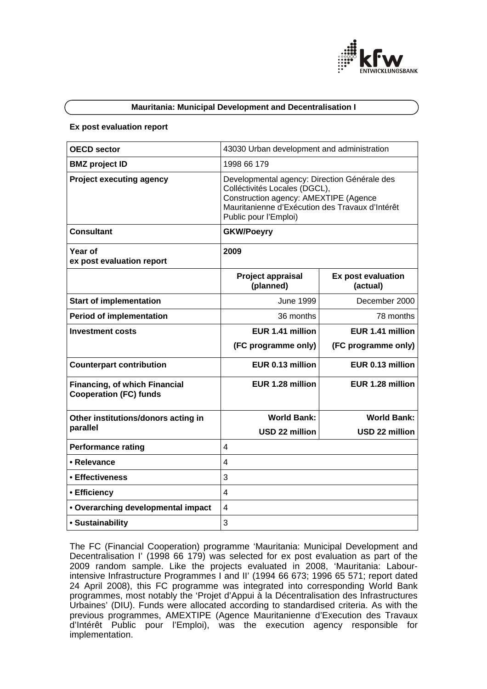

# **Mauritania: Municipal Development and Decentralisation I**

#### **Ex post evaluation report**

| <b>OECD sector</b>                                                    | 43030 Urban development and administration                                                                                                                                                         |                                |  |
|-----------------------------------------------------------------------|----------------------------------------------------------------------------------------------------------------------------------------------------------------------------------------------------|--------------------------------|--|
| <b>BMZ</b> project ID                                                 | 1998 66 179                                                                                                                                                                                        |                                |  |
| <b>Project executing agency</b>                                       | Developmental agency: Direction Générale des<br>Colléctivités Locales (DGCL),<br>Construction agency: AMEXTIPE (Agence<br>Mauritanienne d'Exécution des Travaux d'Intérêt<br>Public pour l'Emploi) |                                |  |
| <b>Consultant</b>                                                     | <b>GKW/Poeyry</b>                                                                                                                                                                                  |                                |  |
| Year of<br>ex post evaluation report                                  | 2009                                                                                                                                                                                               |                                |  |
|                                                                       | Project appraisal<br>(planned)                                                                                                                                                                     | Ex post evaluation<br>(actual) |  |
| <b>Start of implementation</b>                                        | <b>June 1999</b>                                                                                                                                                                                   | December 2000                  |  |
| <b>Period of implementation</b>                                       | 36 months                                                                                                                                                                                          | 78 months                      |  |
| <b>Investment costs</b>                                               | EUR 1.41 million                                                                                                                                                                                   | EUR 1.41 million               |  |
|                                                                       | (FC programme only)                                                                                                                                                                                | (FC programme only)            |  |
| <b>Counterpart contribution</b>                                       | EUR 0.13 million                                                                                                                                                                                   | EUR 0.13 million               |  |
| <b>Financing, of which Financial</b><br><b>Cooperation (FC) funds</b> | EUR 1.28 million                                                                                                                                                                                   | EUR 1.28 million               |  |
| Other institutions/donors acting in                                   | <b>World Bank:</b>                                                                                                                                                                                 | <b>World Bank:</b>             |  |
| parallel                                                              | <b>USD 22 million</b>                                                                                                                                                                              | <b>USD 22 million</b>          |  |
| <b>Performance rating</b>                                             | 4                                                                                                                                                                                                  |                                |  |
| • Relevance                                                           | 4                                                                                                                                                                                                  |                                |  |
| • Effectiveness                                                       | 3                                                                                                                                                                                                  |                                |  |
| • Efficiency                                                          | $\overline{\mathbf{4}}$                                                                                                                                                                            |                                |  |
| • Overarching developmental impact                                    | 4                                                                                                                                                                                                  |                                |  |
| • Sustainability                                                      | 3                                                                                                                                                                                                  |                                |  |

The FC (Financial Cooperation) programme 'Mauritania: Municipal Development and Decentralisation I' (1998 66 179) was selected for ex post evaluation as part of the 2009 random sample. Like the projects evaluated in 2008, 'Mauritania: Labourintensive Infrastructure Programmes I and II' (1994 66 673; 1996 65 571; report dated 24 April 2008), this FC programme was integrated into corresponding World Bank programmes, most notably the 'Projet d'Appui à la Décentralisation des Infrastructures Urbaines' (DIU). Funds were allocated according to standardised criteria. As with the previous programmes, AMEXTIPE (Agence Mauritanienne d'Execution des Travaux d'Intérêt Public pour l'Emploi), was the execution agency responsible for implementation.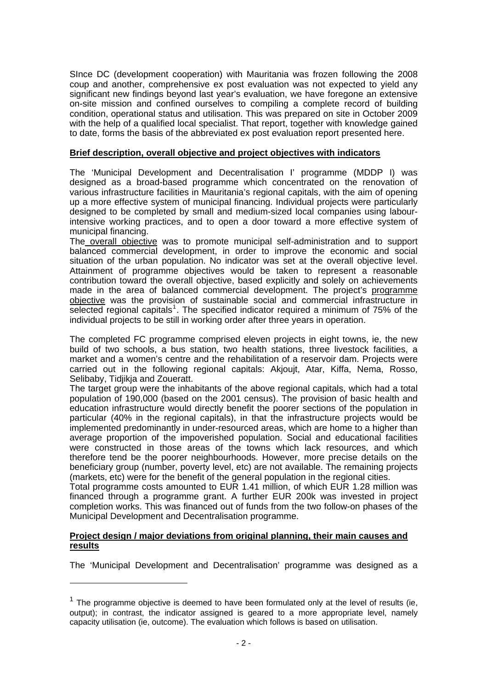SInce DC (development cooperation) with Mauritania was frozen following the 2008 coup and another, comprehensive ex post evaluation was not expected to yield any significant new findings beyond last year's evaluation, we have foregone an extensive on-site mission and confined ourselves to compiling a complete record of building condition, operational status and utilisation. This was prepared on site in October 2009 with the help of a qualified local specialist. That report, together with knowledge gained to date, forms the basis of the abbreviated ex post evaluation report presented here.

# **Brief description, overall objective and project objectives with indicators**

The 'Municipal Development and Decentralisation I' programme (MDDP I) was designed as a broad-based programme which concentrated on the renovation of various infrastructure facilities in Mauritania's regional capitals, with the aim of opening up a more effective system of municipal financing. Individual projects were particularly designed to be completed by small and medium-sized local companies using labourintensive working practices, and to open a door toward a more effective system of municipal financing.

The overall objective was to promote municipal self-administration and to support balanced commercial development, in order to improve the economic and social situation of the urban population. No indicator was set at the overall objective level. Attainment of programme objectives would be taken to represent a reasonable contribution toward the overall objective, based explicitly and solely on achievements made in the area of balanced commercial development. The project's programme objective was the provision of sustainable social and commercial infrastructure in selected regional capitals<sup>[1](#page-1-0)</sup>. The specified indicator required a minimum of 75% of the individual projects to be still in working order after three years in operation.

The completed FC programme comprised eleven projects in eight towns, ie, the new build of two schools, a bus station, two health stations, three livestock facilities, a market and a women's centre and the rehabilitation of a reservoir dam. Projects were carried out in the following regional capitals: Akjoujt, Atar, Kiffa, Nema, Rosso, Selibaby, Tidiikia and Zoueratt.

The target group were the inhabitants of the above regional capitals, which had a total population of 190,000 (based on the 2001 census). The provision of basic health and education infrastructure would directly benefit the poorer sections of the population in particular (40% in the regional capitals), in that the infrastructure projects would be implemented predominantly in under-resourced areas, which are home to a higher than average proportion of the impoverished population. Social and educational facilities were constructed in those areas of the towns which lack resources, and which therefore tend be the poorer neighbourhoods. However, more precise details on the beneficiary group (number, poverty level, etc) are not available. The remaining projects (markets, etc) were for the benefit of the general population in the regional cities.

Total programme costs amounted to EUR 1.41 million, of which EUR 1.28 million was financed through a programme grant. A further EUR 200k was invested in project completion works. This was financed out of funds from the two follow-on phases of the Municipal Development and Decentralisation programme.

# **Project design / major deviations from original planning, their main causes and results**

 $\overline{a}$ 

The 'Municipal Development and Decentralisation' programme was designed as a

<span id="page-1-0"></span> $1$  The programme objective is deemed to have been formulated only at the level of results (ie, output); in contrast, the indicator assigned is geared to a more appropriate level, namely capacity utilisation (ie, outcome). The evaluation which follows is based on utilisation.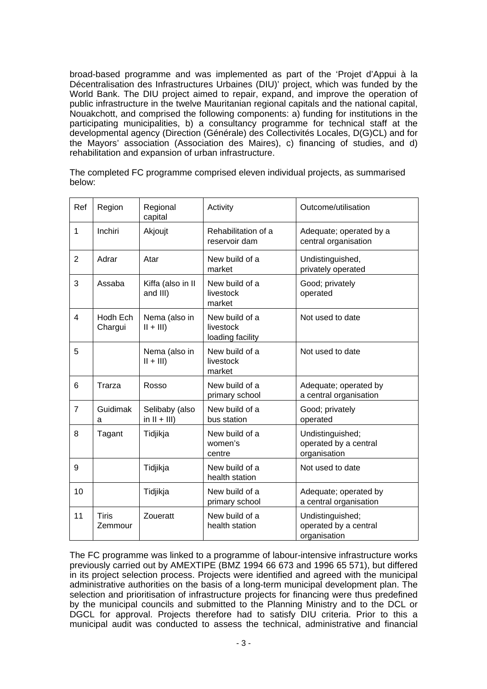broad-based programme and was implemented as part of the 'Projet d'Appui à la Décentralisation des Infrastructures Urbaines (DIU)' project, which was funded by the World Bank. The DIU project aimed to repair, expand, and improve the operation of public infrastructure in the twelve Mauritanian regional capitals and the national capital, Nouakchott, and comprised the following components: a) funding for institutions in the participating municipalities, b) a consultancy programme for technical staff at the developmental agency (Direction (Générale) des Collectivités Locales, D(G)CL) and for the Mayors' association (Association des Maires), c) financing of studies, and d) rehabilitation and expansion of urban infrastructure.

The completed FC programme comprised eleven individual projects, as summarised below:

| Ref            | Region                  | Regional<br>capital               | Activity                                        | Outcome/utilisation                                       |
|----------------|-------------------------|-----------------------------------|-------------------------------------------------|-----------------------------------------------------------|
| $\mathbf{1}$   | Inchiri                 | Akjoujt                           | Rehabilitation of a<br>reservoir dam            | Adequate; operated by a<br>central organisation           |
| $\overline{2}$ | Adrar                   | Atar                              | New build of a<br>market                        | Undistinguished,<br>privately operated                    |
| 3              | Assaba                  | Kiffa (also in II<br>and III)     | New build of a<br>livestock<br>market           | Good; privately<br>operated                               |
| $\overline{4}$ | Hodh Ech<br>Chargui     | Nema (also in<br>$   +      $     | New build of a<br>livestock<br>loading facility | Not used to date                                          |
| 5              |                         | Nema (also in<br>$   +      $     | New build of a<br>livestock<br>market           | Not used to date                                          |
| 6              | Trarza                  | Rosso                             | New build of a<br>primary school                | Adequate; operated by<br>a central organisation           |
| $\overline{7}$ | Guidimak<br>a           | Selibaby (also<br>in $II + III$ ) | New build of a<br>bus station                   | Good; privately<br>operated                               |
| 8              | Tagant                  | Tidjikja                          | New build of a<br>women's<br>centre             | Undistinguished;<br>operated by a central<br>organisation |
| 9              |                         | Tidjikja                          | New build of a<br>health station                | Not used to date                                          |
| 10             |                         | Tidjikja                          | New build of a<br>primary school                | Adequate; operated by<br>a central organisation           |
| 11             | <b>Tiris</b><br>Zemmour | Zoueratt                          | New build of a<br>health station                | Undistinguished;<br>operated by a central<br>organisation |

The FC programme was linked to a programme of labour-intensive infrastructure works previously carried out by AMEXTIPE (BMZ 1994 66 673 and 1996 65 571), but differed in its project selection process. Projects were identified and agreed with the municipal administrative authorities on the basis of a long-term municipal development plan. The selection and prioritisation of infrastructure projects for financing were thus predefined by the municipal councils and submitted to the Planning Ministry and to the DCL or DGCL for approval. Projects therefore had to satisfy DIU criteria. Prior to this a municipal audit was conducted to assess the technical, administrative and financial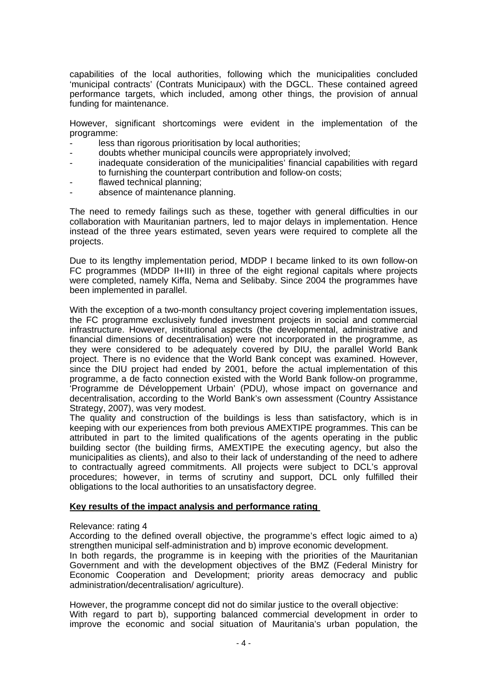capabilities of the local authorities, following which the municipalities concluded 'municipal contracts' (Contrats Municipaux) with the DGCL. These contained agreed performance targets, which included, among other things, the provision of annual funding for maintenance.

However, significant shortcomings were evident in the implementation of the programme:

- less than rigorous prioritisation by local authorities;
- doubts whether municipal councils were appropriately involved;
- inadequate consideration of the municipalities' financial capabilities with regard to furnishing the counterpart contribution and follow-on costs;
- flawed technical planning;
- absence of maintenance planning.

The need to remedy failings such as these, together with general difficulties in our collaboration with Mauritanian partners, led to major delays in implementation. Hence instead of the three years estimated, seven years were required to complete all the projects.

Due to its lengthy implementation period, MDDP I became linked to its own follow-on FC programmes (MDDP II+III) in three of the eight regional capitals where projects were completed, namely Kiffa, Nema and Selibaby. Since 2004 the programmes have been implemented in parallel.

With the exception of a two-month consultancy project covering implementation issues, the FC programme exclusively funded investment projects in social and commercial infrastructure. However, institutional aspects (the developmental, administrative and financial dimensions of decentralisation) were not incorporated in the programme, as they were considered to be adequately covered by DIU, the parallel World Bank project. There is no evidence that the World Bank concept was examined. However, since the DIU project had ended by 2001, before the actual implementation of this programme, a de facto connection existed with the World Bank follow-on programme, 'Programme de Développement Urbain' (PDU), whose impact on governance and decentralisation, according to the World Bank's own assessment (Country Assistance Strategy, 2007), was very modest.

The quality and construction of the buildings is less than satisfactory, which is in keeping with our experiences from both previous AMEXTIPE programmes. This can be attributed in part to the limited qualifications of the agents operating in the public building sector (the building firms, AMEXTIPE the executing agency, but also the municipalities as clients), and also to their lack of understanding of the need to adhere to contractually agreed commitments. All projects were subject to DCL's approval procedures; however, in terms of scrutiny and support, DCL only fulfilled their obligations to the local authorities to an unsatisfactory degree.

## **Key results of the impact analysis and performance rating**

### Relevance: rating 4

According to the defined overall objective, the programme's effect logic aimed to a) strengthen municipal self-administration and b) improve economic development.

In both regards, the programme is in keeping with the priorities of the Mauritanian Government and with the development objectives of the BMZ (Federal Ministry for Economic Cooperation and Development; priority areas democracy and public administration/decentralisation/ agriculture).

However, the programme concept did not do similar justice to the overall objective: With regard to part b), supporting balanced commercial development in order to improve the economic and social situation of Mauritania's urban population, the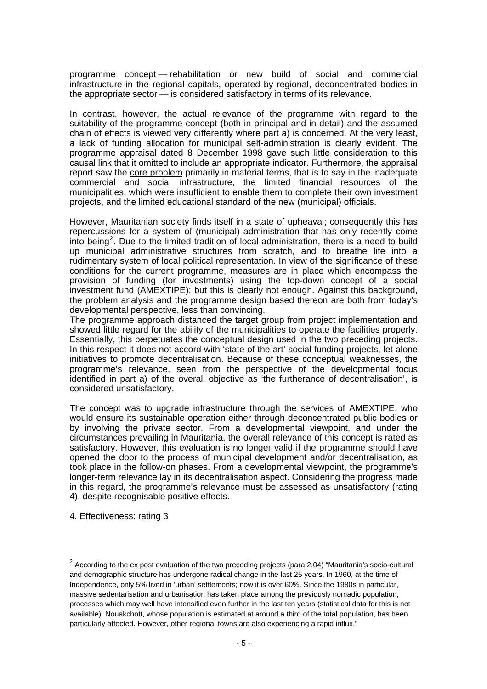programme concept — rehabilitation or new build of social and commercial infrastructure in the regional capitals, operated by regional, deconcentrated bodies in the appropriate sector — is considered satisfactory in terms of its relevance.

In contrast, however, the actual relevance of the programme with regard to the suitability of the programme concept (both in principal and in detail) and the assumed chain of effects is viewed very differently where part a) is concerned. At the very least, a lack of funding allocation for municipal self-administration is clearly evident. The programme appraisal dated 8 December 1998 gave such little consideration to this causal link that it omitted to include an appropriate indicator. Furthermore, the appraisal report saw the core problem primarily in material terms, that is to say in the inadequate commercial and social infrastructure, the limited financial resources of the municipalities, which were insufficient to enable them to complete their own investment projects, and the limited educational standard of the new (municipal) officials.

However, Mauritanian society finds itself in a state of upheaval; consequently this has repercussions for a system of (municipal) administration that has only recently come into being<sup>[2](#page-4-0)</sup>. Due to the limited tradition of local administration, there is a need to build up municipal administrative structures from scratch, and to breathe life into a rudimentary system of local political representation. In view of the significance of these conditions for the current programme, measures are in place which encompass the provision of funding (for investments) using the top-down concept of a social investment fund (AMEXTIPE); but this is clearly not enough. Against this background, the problem analysis and the programme design based thereon are both from today's developmental perspective, less than convincing.

The programme approach distanced the target group from project implementation and showed little regard for the ability of the municipalities to operate the facilities properly. Essentially, this perpetuates the conceptual design used in the two preceding projects. In this respect it does not accord with 'state of the art' social funding projects, let alone initiatives to promote decentralisation. Because of these conceptual weaknesses, the programme's relevance, seen from the perspective of the developmental focus identified in part a) of the overall objective as 'the furtherance of decentralisation', is considered unsatisfactory.

The concept was to upgrade infrastructure through the services of AMEXTIPE, who would ensure its sustainable operation either through deconcentrated public bodies or by involving the private sector. From a developmental viewpoint, and under the circumstances prevailing in Mauritania, the overall relevance of this concept is rated as satisfactory. However, this evaluation is no longer valid if the programme should have opened the door to the process of municipal development and/or decentralisation, as took place in the follow-on phases. From a developmental viewpoint, the programme's longer-term relevance lay in its decentralisation aspect. Considering the progress made in this regard, the programme's relevance must be assessed as unsatisfactory (rating 4), despite recognisable positive effects.

4. Effectiveness: rating 3

 $\overline{a}$ 

<span id="page-4-0"></span> $2$  According to the ex post evaluation of the two preceding projects (para 2.04) "Mauritania's socio-cultural and demographic structure has undergone radical change in the last 25 years. In 1960, at the time of Independence, only 5% lived in 'urban' settlements; now it is over 60%. Since the 1980s in particular, massive sedentarisation and urbanisation has taken place among the previously nomadic population, processes which may well have intensified even further in the last ten years (statistical data for this is not available). Nouakchott, whose population is estimated at around a third of the total population, has been particularly affected. However, other regional towns are also experiencing a rapid influx."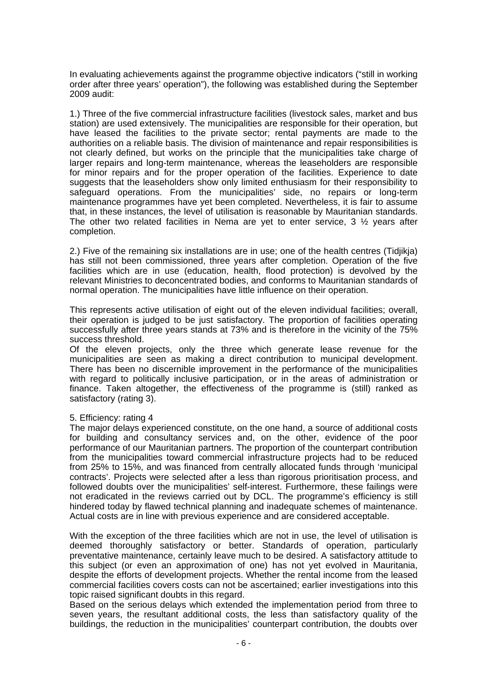In evaluating achievements against the programme objective indicators ("still in working order after three years' operation"), the following was established during the September 2009 audit:

1.) Three of the five commercial infrastructure facilities (livestock sales, market and bus station) are used extensively. The municipalities are responsible for their operation, but have leased the facilities to the private sector; rental payments are made to the authorities on a reliable basis. The division of maintenance and repair responsibilities is not clearly defined, but works on the principle that the municipalities take charge of larger repairs and long-term maintenance, whereas the leaseholders are responsible for minor repairs and for the proper operation of the facilities. Experience to date suggests that the leaseholders show only limited enthusiasm for their responsibility to safeguard operations. From the municipalities' side, no repairs or long-term maintenance programmes have yet been completed. Nevertheless, it is fair to assume that, in these instances, the level of utilisation is reasonable by Mauritanian standards. The other two related facilities in Nema are yet to enter service, 3 ½ years after completion.

2.) Five of the remaining six installations are in use; one of the health centres (Tidjikja) has still not been commissioned, three years after completion. Operation of the five facilities which are in use (education, health, flood protection) is devolved by the relevant Ministries to deconcentrated bodies, and conforms to Mauritanian standards of normal operation. The municipalities have little influence on their operation.

This represents active utilisation of eight out of the eleven individual facilities; overall, their operation is judged to be just satisfactory. The proportion of facilities operating successfully after three years stands at 73% and is therefore in the vicinity of the 75% success threshold.

Of the eleven projects, only the three which generate lease revenue for the municipalities are seen as making a direct contribution to municipal development. There has been no discernible improvement in the performance of the municipalities with regard to politically inclusive participation, or in the areas of administration or finance. Taken altogether, the effectiveness of the programme is (still) ranked as satisfactory (rating 3).

# 5. Efficiency: rating 4

The major delays experienced constitute, on the one hand, a source of additional costs for building and consultancy services and, on the other, evidence of the poor performance of our Mauritanian partners. The proportion of the counterpart contribution from the municipalities toward commercial infrastructure projects had to be reduced from 25% to 15%, and was financed from centrally allocated funds through 'municipal contracts'. Projects were selected after a less than rigorous prioritisation process, and followed doubts over the municipalities' self-interest. Furthermore, these failings were not eradicated in the reviews carried out by DCL. The programme's efficiency is still hindered today by flawed technical planning and inadequate schemes of maintenance. Actual costs are in line with previous experience and are considered acceptable.

With the exception of the three facilities which are not in use, the level of utilisation is deemed thoroughly satisfactory or better. Standards of operation, particularly preventative maintenance, certainly leave much to be desired. A satisfactory attitude to this subject (or even an approximation of one) has not yet evolved in Mauritania, despite the efforts of development projects. Whether the rental income from the leased commercial facilities covers costs can not be ascertained; earlier investigations into this topic raised significant doubts in this regard.

Based on the serious delays which extended the implementation period from three to seven years, the resultant additional costs, the less than satisfactory quality of the buildings, the reduction in the municipalities' counterpart contribution, the doubts over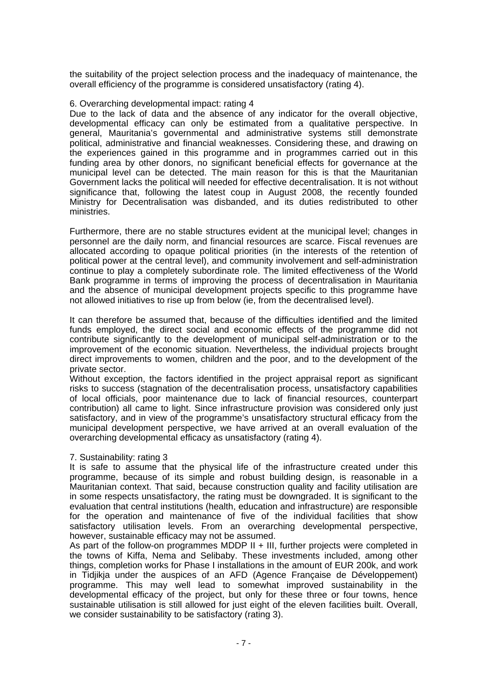the suitability of the project selection process and the inadequacy of maintenance, the overall efficiency of the programme is considered unsatisfactory (rating 4).

# 6. Overarching developmental impact: rating 4

Due to the lack of data and the absence of any indicator for the overall objective, developmental efficacy can only be estimated from a qualitative perspective. In general, Mauritania's governmental and administrative systems still demonstrate political, administrative and financial weaknesses. Considering these, and drawing on the experiences gained in this programme and in programmes carried out in this funding area by other donors, no significant beneficial effects for governance at the municipal level can be detected. The main reason for this is that the Mauritanian Government lacks the political will needed for effective decentralisation. It is not without significance that, following the latest coup in August 2008, the recently founded Ministry for Decentralisation was disbanded, and its duties redistributed to other ministries.

Furthermore, there are no stable structures evident at the municipal level; changes in personnel are the daily norm, and financial resources are scarce. Fiscal revenues are allocated according to opaque political priorities (in the interests of the retention of political power at the central level), and community involvement and self-administration continue to play a completely subordinate role. The limited effectiveness of the World Bank programme in terms of improving the process of decentralisation in Mauritania and the absence of municipal development projects specific to this programme have not allowed initiatives to rise up from below (ie, from the decentralised level).

It can therefore be assumed that, because of the difficulties identified and the limited funds employed, the direct social and economic effects of the programme did not contribute significantly to the development of municipal self-administration or to the improvement of the economic situation. Nevertheless, the individual projects brought direct improvements to women, children and the poor, and to the development of the private sector.

Without exception, the factors identified in the project appraisal report as significant risks to success (stagnation of the decentralisation process, unsatisfactory capabilities of local officials, poor maintenance due to lack of financial resources, counterpart contribution) all came to light. Since infrastructure provision was considered only just satisfactory, and in view of the programme's unsatisfactory structural efficacy from the municipal development perspective, we have arrived at an overall evaluation of the overarching developmental efficacy as unsatisfactory (rating 4).

# 7. Sustainability: rating 3

It is safe to assume that the physical life of the infrastructure created under this programme, because of its simple and robust building design, is reasonable in a Mauritanian context. That said, because construction quality and facility utilisation are in some respects unsatisfactory, the rating must be downgraded. It is significant to the evaluation that central institutions (health, education and infrastructure) are responsible for the operation and maintenance of five of the individual facilities that show satisfactory utilisation levels. From an overarching developmental perspective, however, sustainable efficacy may not be assumed.

As part of the follow-on programmes MDDP  $II + III$ , further projects were completed in the towns of Kiffa, Nema and Selibaby. These investments included, among other things, completion works for Phase I installations in the amount of EUR 200k, and work in Tidjikja under the auspices of an AFD (Agence Française de Développement) programme. This may well lead to somewhat improved sustainability in the developmental efficacy of the project, but only for these three or four towns, hence sustainable utilisation is still allowed for just eight of the eleven facilities built. Overall, we consider sustainability to be satisfactory (rating 3).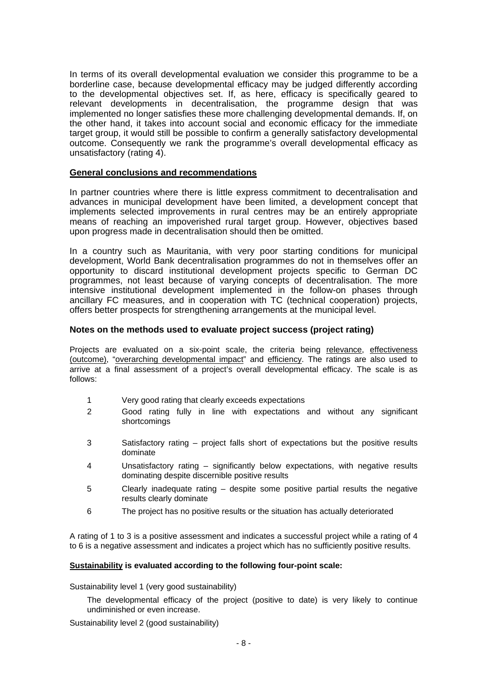In terms of its overall developmental evaluation we consider this programme to be a borderline case, because developmental efficacy may be judged differently according to the developmental objectives set. If, as here, efficacy is specifically geared to relevant developments in decentralisation, the programme design that was implemented no longer satisfies these more challenging developmental demands. If, on the other hand, it takes into account social and economic efficacy for the immediate target group, it would still be possible to confirm a generally satisfactory developmental outcome. Consequently we rank the programme's overall developmental efficacy as unsatisfactory (rating 4).

### **General conclusions and recommendations**

In partner countries where there is little express commitment to decentralisation and advances in municipal development have been limited, a development concept that implements selected improvements in rural centres may be an entirely appropriate means of reaching an impoverished rural target group. However, objectives based upon progress made in decentralisation should then be omitted.

In a country such as Mauritania, with very poor starting conditions for municipal development, World Bank decentralisation programmes do not in themselves offer an opportunity to discard institutional development projects specific to German DC programmes, not least because of varying concepts of decentralisation. The more intensive institutional development implemented in the follow-on phases through ancillary FC measures, and in cooperation with TC (technical cooperation) projects, offers better prospects for strengthening arrangements at the municipal level.

# **Notes on the methods used to evaluate project success (project rating)**

Projects are evaluated on a six-point scale, the criteria being relevance, effectiveness (outcome), "overarching developmental impact" and efficiency. The ratings are also used to arrive at a final assessment of a project's overall developmental efficacy. The scale is as follows:

- 1 Very good rating that clearly exceeds expectations
- 2 Good rating fully in line with expectations and without any significant shortcomings
- 3 Satisfactory rating project falls short of expectations but the positive results dominate
- 4 Unsatisfactory rating significantly below expectations, with negative results dominating despite discernible positive results
- 5 Clearly inadequate rating despite some positive partial results the negative results clearly dominate
- 6 The project has no positive results or the situation has actually deteriorated

A rating of 1 to 3 is a positive assessment and indicates a successful project while a rating of 4 to 6 is a negative assessment and indicates a project which has no sufficiently positive results.

### **Sustainability is evaluated according to the following four-point scale:**

Sustainability level 1 (very good sustainability)

The developmental efficacy of the project (positive to date) is very likely to continue undiminished or even increase.

Sustainability level 2 (good sustainability)